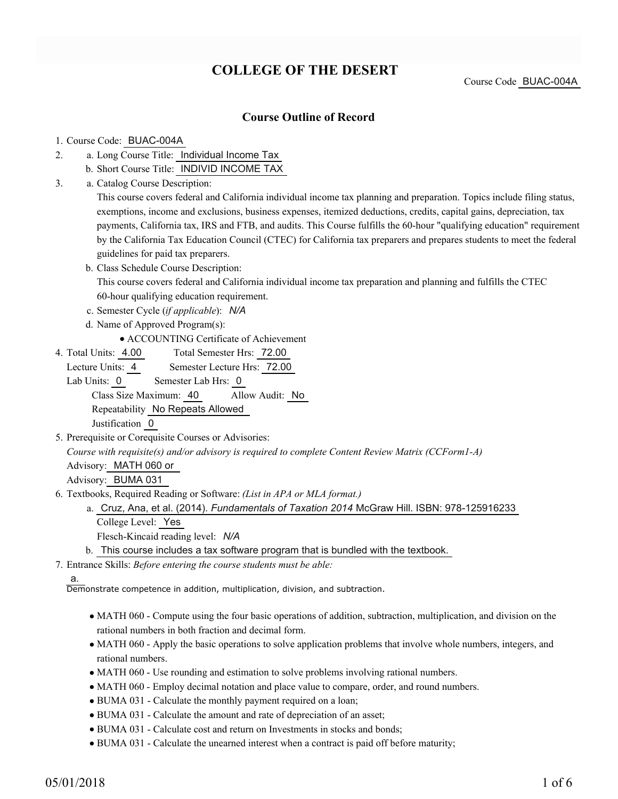# **COLLEGE OF THE DESERT**

Course Code BUAC-004A

## **Course Outline of Record**

#### 1. Course Code: BUAC-004A

- a. Long Course Title: Individual Income Tax 2.
	- b. Short Course Title: INDIVID INCOME TAX
- Catalog Course Description: a. 3.

This course covers federal and California individual income tax planning and preparation. Topics include filing status, exemptions, income and exclusions, business expenses, itemized deductions, credits, capital gains, depreciation, tax payments, California tax, IRS and FTB, and audits. This Course fulfills the 60-hour "qualifying education" requirement by the California Tax Education Council (CTEC) for California tax preparers and prepares students to meet the federal guidelines for paid tax preparers.

- b. Class Schedule Course Description: This course covers federal and California individual income tax preparation and planning and fulfills the CTEC 60-hour qualifying education requirement.
- c. Semester Cycle (*if applicable*): *N/A*
- d. Name of Approved Program(s):
	- ACCOUNTING Certificate of Achievement
- Total Semester Hrs: 72.00 4. Total Units: 4.00

Lecture Units: 4 Semester Lecture Hrs: 72.00

Lab Units: 0 Semester Lab Hrs: 0 Class Size Maximum: 40 Allow Audit: No Repeatability No Repeats Allowed

Justification 0

5. Prerequisite or Corequisite Courses or Advisories:

*Course with requisite(s) and/or advisory is required to complete Content Review Matrix (CCForm1-A)*

Advisory: MATH 060 or

Advisory: BUMA 031

Textbooks, Required Reading or Software: *(List in APA or MLA format.)* 6.

Cruz, Ana, et al. (2014). *Fundamentals of Taxation 2014* McGraw Hill. ISBN: 978-125916233 a. College Level: Yes

- Flesch-Kincaid reading level: *N/A*
- b. This course includes a tax software program that is bundled with the textbook.

Entrance Skills: *Before entering the course students must be able:* 7.

#### a.

Demonstrate competence in addition, multiplication, division, and subtraction.

- MATH 060 Compute using the four basic operations of addition, subtraction, multiplication, and division on the rational numbers in both fraction and decimal form.
- MATH 060 Apply the basic operations to solve application problems that involve whole numbers, integers, and rational numbers.
- MATH 060 Use rounding and estimation to solve problems involving rational numbers.
- MATH 060 Employ decimal notation and place value to compare, order, and round numbers.
- BUMA 031 Calculate the monthly payment required on a loan;
- BUMA 031 Calculate the amount and rate of depreciation of an asset;
- BUMA 031 Calculate cost and return on Investments in stocks and bonds;
- BUMA 031 Calculate the unearned interest when a contract is paid off before maturity;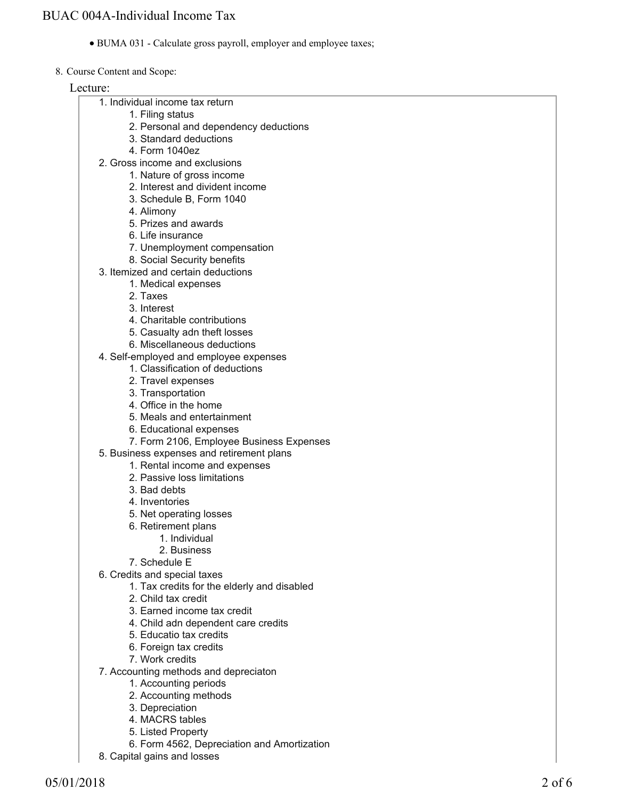- BUMA 031 Calculate gross payroll, employer and employee taxes;
- 8. Course Content and Scope:

Lecture:

|  | 1. Individual income tax return |  |
|--|---------------------------------|--|
|  | _____                           |  |

- 1. Filing status
- 2. Personal and dependency deductions
- 3. Standard deductions
- 4. Form 1040ez
- 2. Gross income and exclusions
	- 1. Nature of gross income
	- 2. Interest and divident income
	- 3. Schedule B, Form 1040
	- 4. Alimony
	- 5. Prizes and awards
	- 6. Life insurance
	- 7. Unemployment compensation
	- 8. Social Security benefits
- 3. Itemized and certain deductions
	- 1. Medical expenses
	- 2. Taxes
	- 3. Interest
	- 4. Charitable contributions
	- 5. Casualty adn theft losses
	- 6. Miscellaneous deductions
- 4. Self-employed and employee expenses
	- 1. Classification of deductions
	- 2. Travel expenses
	- 3. Transportation
	- 4. Office in the home
	- 5. Meals and entertainment
	- 6. Educational expenses
	- 7. Form 2106, Employee Business Expenses
- 5. Business expenses and retirement plans
	- 1. Rental income and expenses
	- 2. Passive loss limitations
	- 3. Bad debts
	- 4. Inventories
	- 5. Net operating losses
	- 6. Retirement plans
		- 1. Individual
		- 2. Business
	- 7. Schedule E
- 6. Credits and special taxes
	- 1. Tax credits for the elderly and disabled
	- 2. Child tax credit
	- 3. Earned income tax credit
	- 4. Child adn dependent care credits
	- 5. Educatio tax credits
	- 6. Foreign tax credits
	- 7. Work credits
- 7. Accounting methods and depreciaton
	- 1. Accounting periods
	- 2. Accounting methods
	- 3. Depreciation
	- 4. MACRS tables
	- 5. Listed Property
	- 6. Form 4562, Depreciation and Amortization
- 8. Capital gains and losses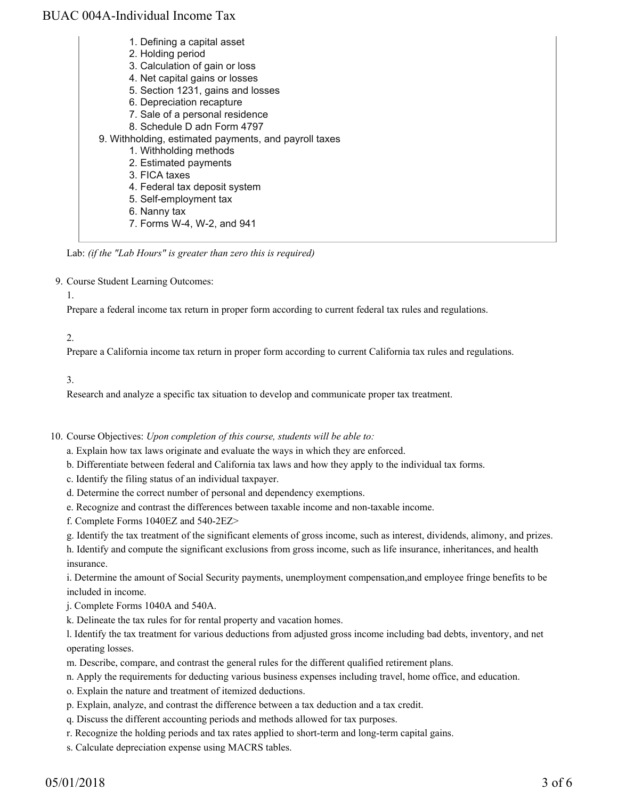| 1. Defining a capital asset                           |
|-------------------------------------------------------|
| 2. Holding period                                     |
| 3. Calculation of gain or loss                        |
| 4. Net capital gains or losses                        |
| 5. Section 1231, gains and losses                     |
| 6. Depreciation recapture                             |
| 7. Sale of a personal residence                       |
| 8. Schedule D adn Form 4797                           |
| 9. Withholding, estimated payments, and payroll taxes |
| 1. Withholding methods                                |
| 2. Estimated payments                                 |
| 3. FICA taxes                                         |
| 4. Federal tax deposit system                         |
| 5. Self-employment tax                                |
| 6. Nanny tax                                          |
| 7. Forms W-4, W-2, and 941                            |

Lab: *(if the "Lab Hours" is greater than zero this is required)*

9. Course Student Learning Outcomes:

1.

Prepare a federal income tax return in proper form according to current federal tax rules and regulations.

2.

Prepare a California income tax return in proper form according to current California tax rules and regulations.

3.

Research and analyze a specific tax situation to develop and communicate proper tax treatment.

10. Course Objectives: Upon completion of this course, students will be able to:

- a. Explain how tax laws originate and evaluate the ways in which they are enforced.
- b. Differentiate between federal and California tax laws and how they apply to the individual tax forms.
- c. Identify the filing status of an individual taxpayer.
- d. Determine the correct number of personal and dependency exemptions.
- e. Recognize and contrast the differences between taxable income and non-taxable income.
- f. Complete Forms 1040EZ and 540-2EZ>
- g. Identify the tax treatment of the significant elements of gross income, such as interest, dividends, alimony, and prizes.

h. Identify and compute the significant exclusions from gross income, such as life insurance, inheritances, and health insurance.

i. Determine the amount of Social Security payments, unemployment compensation,and employee fringe benefits to be included in income.

j. Complete Forms 1040A and 540A.

k. Delineate the tax rules for for rental property and vacation homes.

l. Identify the tax treatment for various deductions from adjusted gross income including bad debts, inventory, and net operating losses.

- m. Describe, compare, and contrast the general rules for the different qualified retirement plans.
- n. Apply the requirements for deducting various business expenses including travel, home office, and education.
- o. Explain the nature and treatment of itemized deductions.
- p. Explain, analyze, and contrast the difference between a tax deduction and a tax credit.
- q. Discuss the different accounting periods and methods allowed for tax purposes.
- r. Recognize the holding periods and tax rates applied to short-term and long-term capital gains.
- s. Calculate depreciation expense using MACRS tables.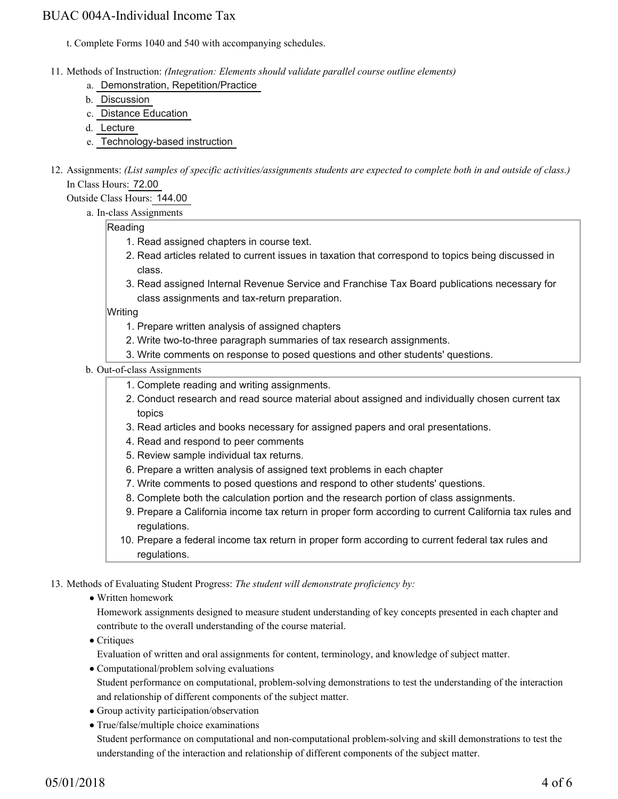t. Complete Forms 1040 and 540 with accompanying schedules.

- Methods of Instruction: *(Integration: Elements should validate parallel course outline elements)* 11.
	- a. Demonstration, Repetition/Practice
	- b. Discussion
	- c. Distance Education
	- d. Lecture
	- e. Technology-based instruction
- 12. Assignments: (List samples of specific activities/assignments students are expected to complete both in and outside of class.) In Class Hours: 72.00

Outside Class Hours: 144.00

a. In-class Assignments

### Reading

- 1. Read assigned chapters in course text.
- 2. Read articles related to current issues in taxation that correspond to topics being discussed in class.
- 3. Read assigned Internal Revenue Service and Franchise Tax Board publications necessary for class assignments and tax-return preparation.

Writing

- 1. Prepare written analysis of assigned chapters
- 2. Write two-to-three paragraph summaries of tax research assignments.
- 3. Write comments on response to posed questions and other students' questions.

### b. Out-of-class Assignments

- 1. Complete reading and writing assignments.
- Conduct research and read source material about assigned and individually chosen current tax 2. topics
- 3. Read articles and books necessary for assigned papers and oral presentations.
- 4. Read and respond to peer comments
- 5. Review sample individual tax returns.
- 6. Prepare a written analysis of assigned text problems in each chapter
- 7. Write comments to posed questions and respond to other students' questions.
- 8. Complete both the calculation portion and the research portion of class assignments.
- 9. Prepare a California income tax return in proper form according to current California tax rules and regulations.
- 10. Prepare a federal income tax return in proper form according to current federal tax rules and regulations.

13. Methods of Evaluating Student Progress: The student will demonstrate proficiency by:

Written homework

Homework assignments designed to measure student understanding of key concepts presented in each chapter and contribute to the overall understanding of the course material.

• Critiques

Evaluation of written and oral assignments for content, terminology, and knowledge of subject matter.

- Computational/problem solving evaluations Student performance on computational, problem-solving demonstrations to test the understanding of the interaction and relationship of different components of the subject matter.
- Group activity participation/observation
- True/false/multiple choice examinations Student performance on computational and non-computational problem-solving and skill demonstrations to test the understanding of the interaction and relationship of different components of the subject matter.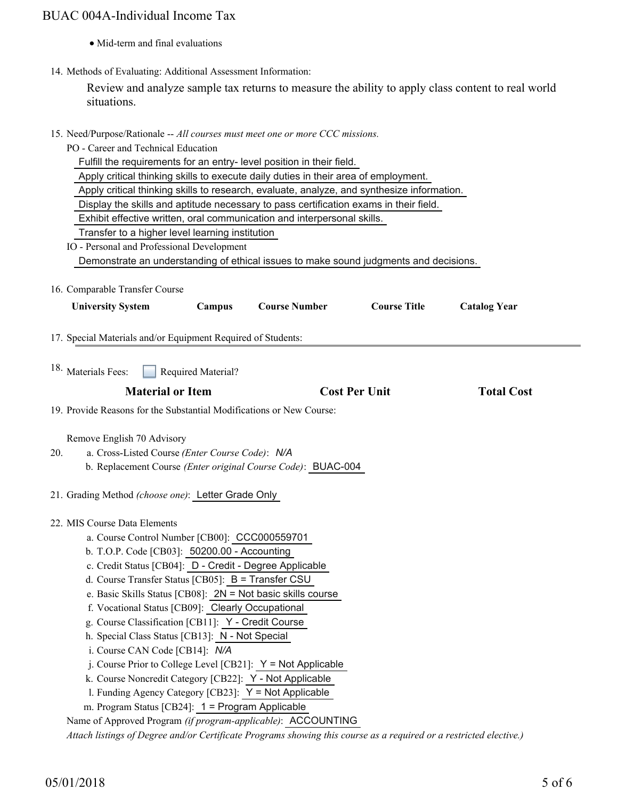- Mid-term and final evaluations
- 14. Methods of Evaluating: Additional Assessment Information:

Review and analyze sample tax returns to measure the ability to apply class content to real world situations.

| 15. Need/Purpose/Rationale -- All courses must meet one or more CCC missions.                                      |                                                               |                                                                                       |                      |                     |  |  |  |  |  |  |
|--------------------------------------------------------------------------------------------------------------------|---------------------------------------------------------------|---------------------------------------------------------------------------------------|----------------------|---------------------|--|--|--|--|--|--|
| PO - Career and Technical Education                                                                                |                                                               |                                                                                       |                      |                     |  |  |  |  |  |  |
| Fulfill the requirements for an entry- level position in their field.                                              |                                                               |                                                                                       |                      |                     |  |  |  |  |  |  |
| Apply critical thinking skills to execute daily duties in their area of employment.                                |                                                               |                                                                                       |                      |                     |  |  |  |  |  |  |
| Apply critical thinking skills to research, evaluate, analyze, and synthesize information.                         |                                                               |                                                                                       |                      |                     |  |  |  |  |  |  |
| Display the skills and aptitude necessary to pass certification exams in their field.                              |                                                               |                                                                                       |                      |                     |  |  |  |  |  |  |
| Exhibit effective written, oral communication and interpersonal skills.                                            |                                                               |                                                                                       |                      |                     |  |  |  |  |  |  |
| Transfer to a higher level learning institution                                                                    |                                                               |                                                                                       |                      |                     |  |  |  |  |  |  |
| IO - Personal and Professional Development                                                                         |                                                               |                                                                                       |                      |                     |  |  |  |  |  |  |
|                                                                                                                    |                                                               | Demonstrate an understanding of ethical issues to make sound judgments and decisions. |                      |                     |  |  |  |  |  |  |
| 16. Comparable Transfer Course                                                                                     |                                                               |                                                                                       |                      |                     |  |  |  |  |  |  |
| <b>University System</b>                                                                                           | Campus                                                        | <b>Course Number</b>                                                                  | <b>Course Title</b>  | <b>Catalog Year</b> |  |  |  |  |  |  |
| 17. Special Materials and/or Equipment Required of Students:                                                       |                                                               |                                                                                       |                      |                     |  |  |  |  |  |  |
|                                                                                                                    |                                                               |                                                                                       |                      |                     |  |  |  |  |  |  |
| 18. Materials Fees:                                                                                                | Required Material?                                            |                                                                                       |                      |                     |  |  |  |  |  |  |
| <b>Material or Item</b>                                                                                            |                                                               |                                                                                       | <b>Cost Per Unit</b> | <b>Total Cost</b>   |  |  |  |  |  |  |
| 19. Provide Reasons for the Substantial Modifications or New Course:                                               |                                                               |                                                                                       |                      |                     |  |  |  |  |  |  |
|                                                                                                                    |                                                               |                                                                                       |                      |                     |  |  |  |  |  |  |
| Remove English 70 Advisory                                                                                         |                                                               |                                                                                       |                      |                     |  |  |  |  |  |  |
| 20.<br>a. Cross-Listed Course (Enter Course Code): N/A                                                             |                                                               |                                                                                       |                      |                     |  |  |  |  |  |  |
|                                                                                                                    |                                                               | b. Replacement Course (Enter original Course Code): BUAC-004                          |                      |                     |  |  |  |  |  |  |
| 21. Grading Method (choose one): Letter Grade Only                                                                 |                                                               |                                                                                       |                      |                     |  |  |  |  |  |  |
| 22. MIS Course Data Elements                                                                                       |                                                               |                                                                                       |                      |                     |  |  |  |  |  |  |
| a. Course Control Number [CB00]: CCC000559701                                                                      |                                                               |                                                                                       |                      |                     |  |  |  |  |  |  |
| b. T.O.P. Code [CB03]: 50200.00 - Accounting                                                                       |                                                               |                                                                                       |                      |                     |  |  |  |  |  |  |
| c. Credit Status [CB04]: D - Credit - Degree Applicable                                                            |                                                               |                                                                                       |                      |                     |  |  |  |  |  |  |
| d. Course Transfer Status [CB05]: $B =$ Transfer CSU                                                               |                                                               |                                                                                       |                      |                     |  |  |  |  |  |  |
|                                                                                                                    |                                                               | e. Basic Skills Status [CB08]: 2N = Not basic skills course                           |                      |                     |  |  |  |  |  |  |
| f. Vocational Status [CB09]: Clearly Occupational                                                                  |                                                               |                                                                                       |                      |                     |  |  |  |  |  |  |
| g. Course Classification [CB11]: Y - Credit Course                                                                 |                                                               |                                                                                       |                      |                     |  |  |  |  |  |  |
| h. Special Class Status [CB13]: N - Not Special                                                                    |                                                               |                                                                                       |                      |                     |  |  |  |  |  |  |
| i. Course CAN Code [CB14]: N/A                                                                                     |                                                               |                                                                                       |                      |                     |  |  |  |  |  |  |
|                                                                                                                    | j. Course Prior to College Level [CB21]: $Y = Not$ Applicable |                                                                                       |                      |                     |  |  |  |  |  |  |
|                                                                                                                    | k. Course Noncredit Category [CB22]: Y - Not Applicable       |                                                                                       |                      |                     |  |  |  |  |  |  |
| 1. Funding Agency Category [CB23]: Y = Not Applicable                                                              |                                                               |                                                                                       |                      |                     |  |  |  |  |  |  |
| m. Program Status [CB24]: 1 = Program Applicable                                                                   |                                                               |                                                                                       |                      |                     |  |  |  |  |  |  |
| Name of Approved Program (if program-applicable): ACCOUNTING                                                       |                                                               |                                                                                       |                      |                     |  |  |  |  |  |  |
| Attach listings of Degree and/or Certificate Programs showing this course as a required or a restricted elective.) |                                                               |                                                                                       |                      |                     |  |  |  |  |  |  |